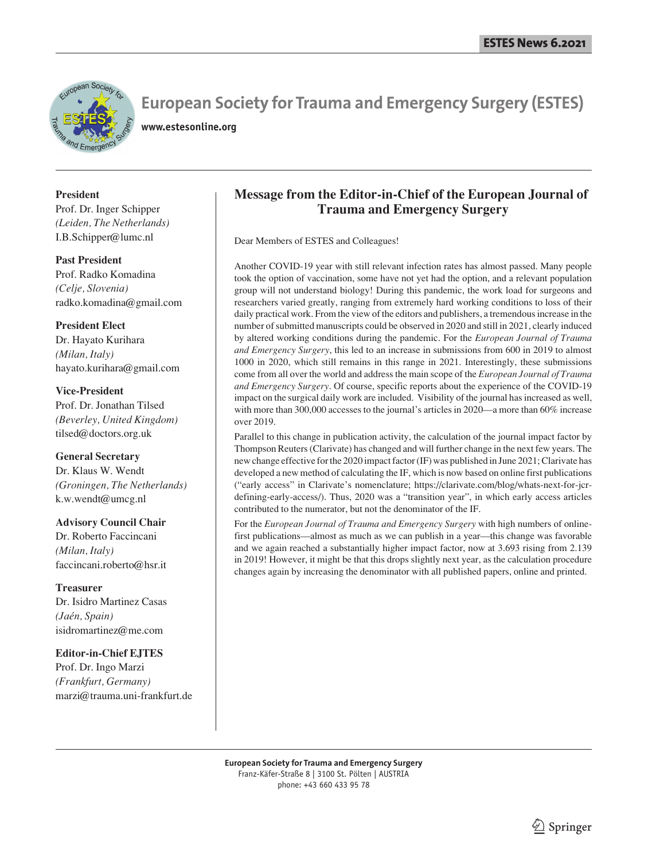

## **European Society for Trauma and Emergency Surgery (ESTES)**

**www.estesonline.org**

### **President**

Prof. Dr. Inger Schipper *(Leiden, The Netherlands)* I.B.Schipper@lumc.nl

#### **Past President**

Prof. Radko Komadina *(Celje, Slovenia)* radko.komadina@gmail.com

#### **President Elect**

Dr. Hayato Kurihara *(Milan, Italy)* hayato.kurihara@gmail.com

#### **Vice-President**

Prof. Dr. Jonathan Tilsed *(Beverley, United Kingdom)* tilsed@doctors.org.uk

#### **General Secretary**

Dr. Klaus W. Wendt *(Groningen, The Netherlands)* k.w.wendt@umcg.nl

#### **Advisory Council Chair**

Dr. Roberto Faccincani *(Milan, Italy)* faccincani.roberto@hsr.it

#### **Treasurer**

Dr. Isidro Martinez Casas *(Jaén, Spain)* isidromartinez@me.com

#### **Editor-in-Chief EJTES**

Prof. Dr. Ingo Marzi *(Frankfurt, Germany)* marzi@trauma.uni-frankfurt.de

## **Message from the Editor-in-Chief of the European Journal of Trauma and Emergency Surgery**

Dear Members of ESTES and Colleagues!

Another COVID-19 year with still relevant infection rates has almost passed. Many people took the option of vaccination, some have not yet had the option, and a relevant population group will not understand biology! During this pandemic, the work load for surgeons and researchers varied greatly, ranging from extremely hard working conditions to loss of their daily practical work. From the view of the editors and publishers, a tremendous increase in the number of submitted manuscripts could be observed in 2020 and still in 2021, clearly induced by altered working conditions during the pandemic. For the *European Journal of Trauma and Emergency Surgery*, this led to an increase in submissions from 600 in 2019 to almost 1000 in 2020, which still remains in this range in 2021. Interestingly, these submissions come from all over the world and address the main scope of the *European Journal of Trauma and Emergency Surgery*. Of course, specific reports about the experience of the COVID-19 impact on the surgical daily work are included. Visibility of the journal has increased as well, with more than 300,000 accesses to the journal's articles in 2020—a more than 60% increase over 2019.

Parallel to this change in publication activity, the calculation of the journal impact factor by Thompson Reuters (Clarivate) has changed and will further change in the next few years. The new change effective for the 2020 impact factor (IF) was published in June 2021; Clarivate has developed a new method of calculating the IF, which is now based on online first publications ("early access" in Clarivate's nomenclature; https://clarivate.com/blog/whats-next-for-jcrdefining-early-access/). Thus, 2020 was a "transition year", in which early access articles contributed to the numerator, but not the denominator of the IF.

For the *European Journal of Trauma and Emergency Surgery* with high numbers of onlinefirst publications—almost as much as we can publish in a year—this change was favorable and we again reached a substantially higher impact factor, now at 3.693 rising from 2.139 in 2019! However, it might be that this drops slightly next year, as the calculation procedure changes again by increasing the denominator with all published papers, online and printed.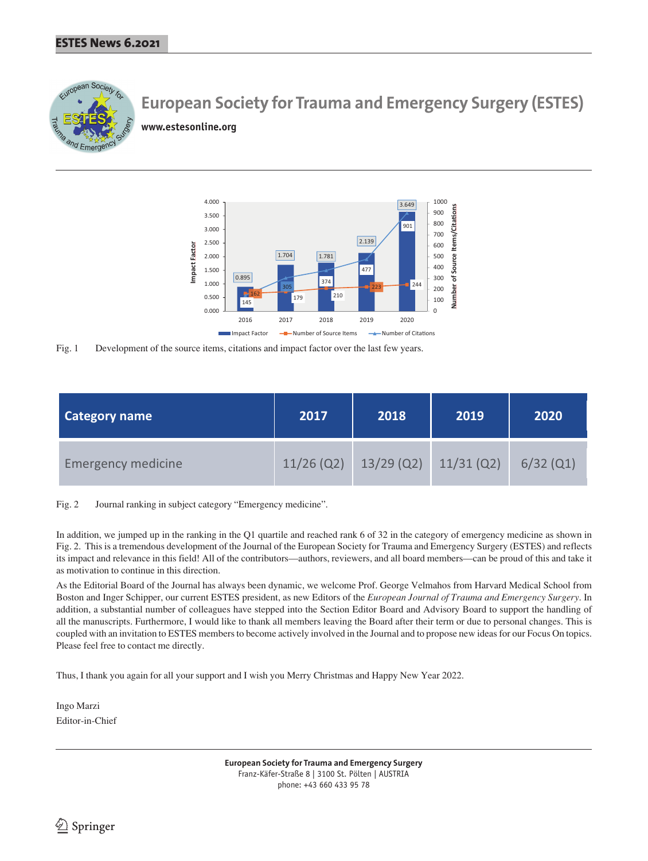

# **European Society for Trauma and Emergency Surgery (ESTES)**

**www.estesonline.org**



Fig. 1 Development of the source items, citations and impact factor over the last few years.

| <b>Category name</b>      | 2017 | 2018                    | 2019         | 2020        |
|---------------------------|------|-------------------------|--------------|-------------|
| <b>Emergency medicine</b> |      | $11/26$ (Q2) 13/29 (Q2) | $11/31$ (Q2) | $6/32$ (Q1) |

Fig. 2 Journal ranking in subject category "Emergency medicine".

In addition, we jumped up in the ranking in the Q1 quartile and reached rank 6 of 32 in the category of emergency medicine as shown in Fig. 2. This is a tremendous development of the Journal of the European Society for Trauma and Emergency Surgery (ESTES) and reflects its impact and relevance in this field! All of the contributors—authors, reviewers, and all board members—can be proud of this and take it as motivation to continue in this direction.

As the Editorial Board of the Journal has always been dynamic, we welcome Prof. George Velmahos from Harvard Medical School from Boston and Inger Schipper, our current ESTES president, as new Editors of the *European Journal of Trauma and Emergency Surgery*. In addition, a substantial number of colleagues have stepped into the Section Editor Board and Advisory Board to support the handling of all the manuscripts. Furthermore, I would like to thank all members leaving the Board after their term or due to personal changes. This is coupled with an invitation to ESTES members to become actively involved in the Journal and to propose new ideas for our Focus On topics. Please feel free to contact me directly.

Thus, I thank you again for all your support and I wish you Merry Christmas and Happy New Year 2022.

Ingo Marzi Editor-in-Chief

> **European Society for Trauma and Emergency Surgery** Franz-Käfer-Straße 8 | 3100 St. Pölten | AUSTRIA phone: +43 660 433 95 78